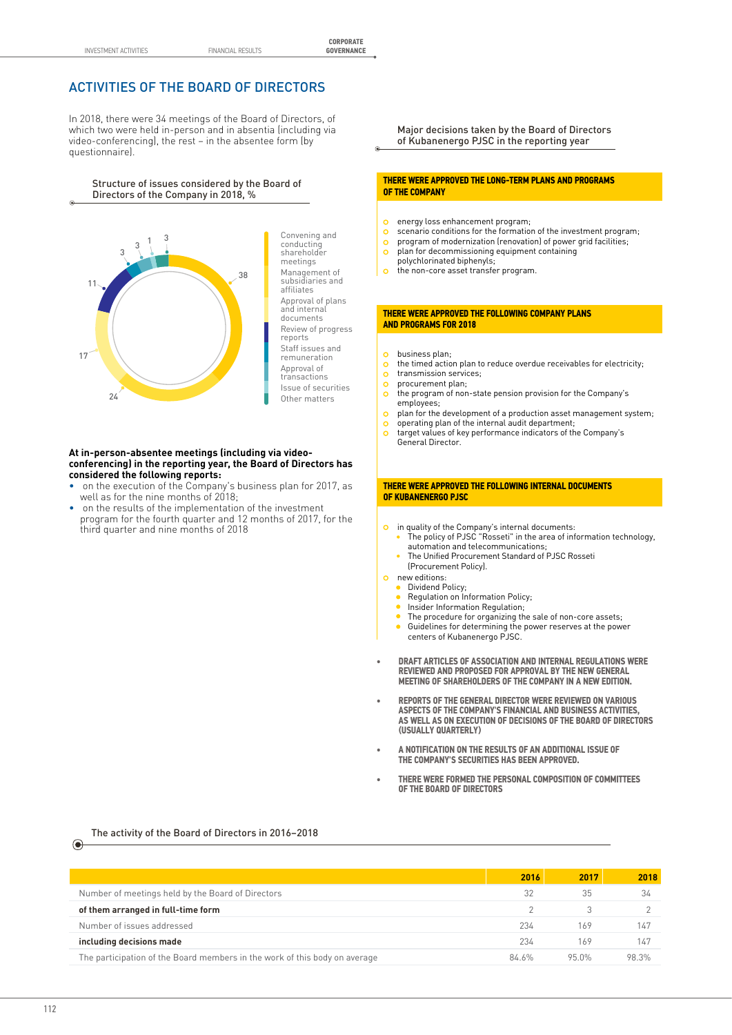# ACTIVITIES OF THE BOARD OF DIRECTORS

In 2018, there were 34 meetings of the Board of Directors, of which two were held in-person and in absentia (including via video-conferencing), the rest – in the absentee form (by questionnaire).

Structure of issues considered by the Board of Structure of issues considered by the Board of<br>Directors of the Company in 2018, %



#### **At in-person-absentee meetings (including via video-**Staff issues and **conferencing) in the reporting year, the Board of Directors has** remuneration **considered the following reports:**  $\ddot{ }$

- on the execution of the Company's business plan for 2017, as well as for the nine months of 2018; plantion zonn<sub>i</sub>ties
- on the results of the implementation of the investment program for the fourth quarter and 12 months of 2017, for the third quarter and nine months of 2018

Major decisions taken by the Board of Directors of Kubanenergo PJSC in the reporting year

### **THERE WERE APPROVED THE LONG-TERM PLANS AND PROGRAMS OF THE COMPANY**

- energy loss enhancement program;  $\circ$
- $\circ$ scenario conditions for the formation of the investment program;
- program of modernization (renovation) of power grid facilities;  $\circ$ program of modernization (renovation) of power gri<br>plan for decommissioning equipment containing
- $\circ$ polychlorinated biphenyls;
- $\sim$ the non-core asset transfer program.

#### **THERE WERE APPROVED THE FOLLOWING COMPANY PLANS AND PROGRAMS FOR 2018**

- business plan;  $\sigma$
- the timed action plan to reduce overdue receivables for electricity;  $\Omega$
- transmission services;  $\Omega$ procurement plan;  $\circ$
- the program of non-state pension provision for the Company's  $\circ$ employees;
- $\circ$ plan for the development of a production asset management system;
- operating plan of the internal audit department;  $\circ$
- target values of key performance indicators of the Company's  $\Omega$ General Director.

#### **THERE WERE APPROVED THE FOLLOWING INTERNAL DOCUMENTS OF KUBANENERGO PJSC**

- in quality of the Company's internal documents:
- The policy of PJSC "Rosseti" in the area of information technology, automation and telecommunications;
- The Unified Procurement Standard of PJSC Rosseti (Procurement Policy).
- new editions:
	- Dividend Policy;
	- Regulation on Information Policy;
	- Insider Information Regulation;
	- The procedure for organizing the sale of non-core assets;  $\bullet$ Guidelines for determining the power reserves at the power centers of Kubanenergo PJSC.
- **• DRAFT ARTICLES OF ASSOCIATION AND INTERNAL REGULATIONS WERE REVIEWED AND PROPOSED FOR APPROVAL BY THE NEW GENERAL MEETING OF SHAREHOLDERS OF THE COMPANY IN A NEW EDITION.**
- **• REPORTS OF THE GENERAL DIRECTOR WERE REVIEWED ON VARIOUS ASPECTS OF THE COMPANY'S FINANCIAL AND BUSINESS ACTIVITIES, AS WELL AS ON EXECUTION OF DECISIONS OF THE BOARD OF DIRECTORS (USUALLY QUARTERLY)**
- **• A NOTIFICATION ON THE RESULTS OF AN ADDITIONAL ISSUE OF THE COMPANY'S SECURITIES HAS BEEN APPROVED.**
- **2016 2017 2018 • THERE WERE FORMED THE PERSONAL COMPOSITION OF COMMITTEES OF THE BOARD OF DIRECTORS**

**including decisions made** 234 169 147 The activity of the Board of Directors in 2016–2018

|                                                                            | 2016  | 2017  | 2018  |
|----------------------------------------------------------------------------|-------|-------|-------|
| Number of meetings held by the Board of Directors                          | 32    | 35    | 34    |
| of them arranged in full-time form                                         |       |       |       |
| Number of issues addressed                                                 | 234   | 169   | 147   |
| including decisions made                                                   | 234   | 169   | 147   |
| The participation of the Board members in the work of this body on average | 84.6% | 95.0% | 98.3% |

The participation of the Board members in the Board members in the work of this body on average 84.6% 95.0% 98.3% 98.3% 98.3% 98.3% 98.3% 98.3% 98.3% 98.3% 98.3% 98.3% 98.3% 98.3% 98.3% 98.3% 98.3% 98.3% 98.3% 98.3% 98.3%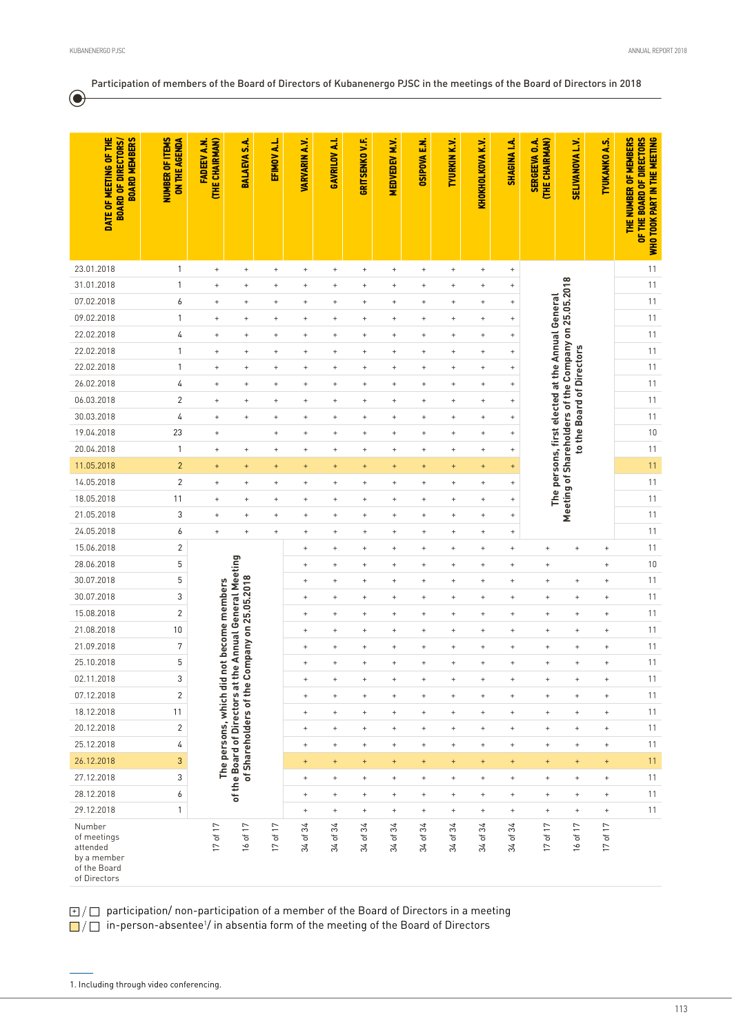$\odot$ 

## Participation of members of the Board of Directors of Kubanenergo PJSC in the meetings of the Board of Directors in 2018

| DATE OF MEETING OF THE<br><b>BOARD MEMBERS</b><br><b>BOARD OF DIRECTORS/</b>     | <b>NUMBER OF ITEMS</b><br><b>ON THE AGENDA</b> | (THE CHAIRMAN)<br><b>FADEEV A.N.</b>         | BALAEVA S.A.                                                                      | EFIMOV A.L.                        | <b>VARVARIN A.V.</b>             | ų<br>GAVRILOV                       | <b>GRITSENKOVF.</b>              | <b>MEDVEDEV M.V.</b>             | <b>OSIPOVA E.N.</b>              | <b>TYURKIN K.V.</b>              | <b>KHOKHOLKOVA K.V.</b>          | <b>SHAGINA I.A.</b>              | THE CHAIRMAN)<br><b>SERGEEVA O.A.</b>            | <b>SELIVANOVA L.V.</b>                               | <b>TYUKANKO A.S.</b>             | THE NUMBER OF MEMBERS<br>OF THE BOARD OF DIRECTORS<br>WHO TOOK PART IN THE MEETING |    |
|----------------------------------------------------------------------------------|------------------------------------------------|----------------------------------------------|-----------------------------------------------------------------------------------|------------------------------------|----------------------------------|-------------------------------------|----------------------------------|----------------------------------|----------------------------------|----------------------------------|----------------------------------|----------------------------------|--------------------------------------------------|------------------------------------------------------|----------------------------------|------------------------------------------------------------------------------------|----|
|                                                                                  |                                                |                                              |                                                                                   |                                    |                                  |                                     |                                  |                                  |                                  |                                  |                                  |                                  |                                                  |                                                      |                                  |                                                                                    |    |
| 23.01.2018                                                                       | $\mathbf{1}$                                   | $^{\mathrm{+}}$                              | $\, +$                                                                            | $\begin{array}{c} + \end{array}$   | $\ddot{}$                        | $\begin{array}{c} + \end{array}$    | $\! +$                           | $^{\mathrm{+}}$                  | $\begin{array}{c} + \end{array}$ | $^+$                             | $\begin{array}{c} + \end{array}$ | $\ddot{}$                        |                                                  |                                                      |                                  | 11                                                                                 |    |
| 31.01.2018                                                                       | 1                                              | $^{\mathrm{+}}$                              | $\! + \!$                                                                         | $\ddot{}$                          | $\ddot{}$                        | $\qquad \qquad +$                   | $\begin{array}{c} + \end{array}$ | $\begin{array}{c} + \end{array}$ | $\ddot{}$                        | $\ddot{}$                        | $\qquad \qquad +$                | $\ddot{}$                        |                                                  |                                                      |                                  | 11                                                                                 |    |
| 07.02.2018                                                                       | 6                                              | $\ddot{}$                                    | $\ddot{}$                                                                         | $\ddot{}$                          | $\ddot{}$                        | $\ddot{}$                           | $\ddot{}$                        | $\begin{array}{c} + \end{array}$ | $\ddot{}$                        | $\ddot{}$                        | $\ddot{}$                        | $\ddot{}$                        |                                                  |                                                      |                                  | 11                                                                                 |    |
| 09.02.2018                                                                       | 1                                              | $\begin{array}{c} + \end{array}$             | $\begin{array}{c} + \end{array}$                                                  | $\begin{array}{c} + \end{array}$   | $\begin{array}{c} + \end{array}$ | $\ddot{}$                           | $\begin{array}{c} + \end{array}$ | $\begin{array}{c} + \end{array}$ | $\ddot{}$                        | $\begin{array}{c} + \end{array}$ | $\begin{array}{c} + \end{array}$ | $\begin{array}{c} + \end{array}$ |                                                  | Meeting of Shareholders of the Company on 25.05.2018 |                                  | 11                                                                                 |    |
| 22.02.2018                                                                       | 4                                              | $\begin{array}{c} + \end{array}$             | $\begin{array}{c} + \end{array}$                                                  | $\ddot{}$                          | $\begin{array}{c} + \end{array}$ | $\ddot{}$                           | $\begin{array}{c} + \end{array}$ | $\begin{array}{c} + \end{array}$ | $\ddot{}$                        | $\begin{array}{c} + \end{array}$ | $\ddot{}$                        | $\begin{array}{c} + \end{array}$ |                                                  |                                                      |                                  | 11                                                                                 |    |
| 22.02.2018                                                                       | $\mathbf{1}$                                   | $\ddot{}$                                    | $\begin{array}{c} + \end{array}$                                                  | $\ddot{}$                          | $\ddot{}$                        | $\ddot{}$                           | $\begin{array}{c} + \end{array}$ | $\begin{array}{c} + \end{array}$ | $\ddot{}$                        | $\begin{array}{c} + \end{array}$ | $\ddot{}$                        | $\qquad \qquad +$                | The persons, first elected at the Annual General |                                                      |                                  | 11                                                                                 |    |
| 22.02.2018                                                                       | 1                                              | $\ddot{}$                                    | $\begin{array}{c} + \end{array}$                                                  | $\ddot{}$                          | $\ddot{}$                        | $\ddot{}$                           | $\begin{array}{c} + \end{array}$ | $\ddot{}$                        | $\ddot{}$                        | $\begin{array}{c} + \end{array}$ | $\ddot{}$                        | $\qquad \qquad +$                |                                                  | to the Board of Directors                            |                                  | 11                                                                                 |    |
| 26.02.2018                                                                       | 4                                              | $\ddot{}$                                    | $\begin{array}{c} + \end{array}$                                                  | $\ddot{}$                          | $\ddot{}$                        | $^{+}$                              | $^{+}$                           | $\begin{array}{c} + \end{array}$ | $\ddot{}$                        | $\begin{array}{c} + \end{array}$ | $\begin{array}{c} + \end{array}$ | $\! + \!$                        |                                                  |                                                      |                                  | 11                                                                                 |    |
| 06.03.2018                                                                       | $\overline{c}$                                 | $\begin{array}{c} + \end{array}$             | $\ddot{}$                                                                         | $\ddot{}$                          | $\ddot{}$                        | $\ddot{}$                           | $\qquad \qquad +$                | $\ddot{}$                        | $\ddot{}$                        | $\ddot{}$                        | $\ddot{}$                        | $\qquad \qquad +$                |                                                  |                                                      |                                  | 11                                                                                 |    |
| 30.03.2018                                                                       | 4                                              | $\ddot{}$                                    | $\ddot{}$                                                                         | $^{+}$                             | $\ddot{}$                        | $\ddot{}$                           | $\ddot{}$                        | $\begin{array}{c} + \end{array}$ | $\ddot{\phantom{1}}$             | $\ddot{}$                        | $\ddot{}$                        | $\! + \!$                        |                                                  |                                                      |                                  | 11                                                                                 |    |
| 19.04.2018                                                                       | 23                                             | $\begin{array}{c} + \end{array}$             |                                                                                   | $\ddot{}$                          | $\begin{array}{c} + \end{array}$ | $\ddot{}$                           | $\qquad \qquad +$                | $\ddot{}$                        | $\ddot{}$                        | $\ddot{}$                        | $\qquad \qquad +$                | $\qquad \qquad +$                |                                                  |                                                      |                                  | $10\,$                                                                             |    |
| 20.04.2018                                                                       | $\mathbf{1}$                                   | $\ddot{}$                                    | $\ddot{}$                                                                         | $\ddot{}$                          | $\ddot{}$                        | $\ddot{}$                           | $\ddot{}$                        | $\ddot{}$                        | $\ddot{}$                        | $\ddot{}$                        | $^{+}$                           | $\qquad \qquad +$                |                                                  |                                                      |                                  | 11                                                                                 |    |
| 11.05.2018                                                                       | $\overline{c}$                                 | $^{+}$                                       | $\begin{array}{c} + \end{array}$                                                  | $\ddot{}$                          | $^{+}$                           | $^{+}$                              | $\ddot{}$                        | $\ddot{}$                        | $\ddot{}$                        | $\begin{array}{c} + \end{array}$ | $\ddot{}$                        | $\begin{array}{c} + \end{array}$ |                                                  |                                                      |                                  | 11                                                                                 |    |
| 14.05.2018                                                                       | $\overline{c}$                                 | $\ddot{}$                                    | $\begin{array}{c} + \end{array}$                                                  | $\begin{array}{c} + \end{array}$   | $\ddot{}$                        | $\ddot{}$                           | $\ddot{}$                        | $\ddot{}$                        | $\ddot{}$                        | $\begin{array}{c} + \end{array}$ | $\begin{array}{c} + \end{array}$ | $\begin{array}{c} + \end{array}$ |                                                  |                                                      |                                  | 11                                                                                 |    |
| 18.05.2018                                                                       | 11                                             | $\begin{array}{c} + \end{array}$             | $\begin{array}{c} + \end{array}$                                                  | $\begin{array}{c} + \end{array}$   | $\begin{array}{c} + \end{array}$ | $\ddot{}$                           | $\ddot{}$                        | $\begin{array}{c} + \end{array}$ | $\begin{array}{c} + \end{array}$ | $\begin{array}{c} + \end{array}$ | $\begin{array}{c} + \end{array}$ | $^{\mathrm{+}}$                  |                                                  |                                                      |                                  | 11                                                                                 |    |
| 21.05.2018                                                                       | 3                                              | $\begin{array}{c} + \end{array}$             | $\begin{array}{c} + \end{array}$                                                  | $\ddot{}$                          | $^{+}$                           | $^{+}$                              | $\ddot{}$                        | $^{+}$                           | $\ddot{}$                        | $\begin{array}{c} + \end{array}$ | $\ddot{}$                        | $\ddot{}$                        |                                                  |                                                      |                                  | 11                                                                                 |    |
| 24.05.2018                                                                       | 6                                              | $\begin{array}{c} + \end{array}$             | $\begin{array}{c} + \end{array}$                                                  | $^{+}$                             | $^{+}$                           | $\ddot{}$                           | $\ddot{}$                        | $^{+}$                           | $\ddot{}$                        | $\begin{array}{c} + \end{array}$ | $\ddot{}$                        | $\ddot{}$                        |                                                  |                                                      |                                  | 11                                                                                 |    |
| 15.06.2018                                                                       | $\sqrt{2}$                                     |                                              |                                                                                   |                                    | $\ddot{}$                        | $\ddot{}$                           | $\ddot{}$                        | $\begin{array}{c} + \end{array}$ | $\ddot{}$                        | $\ddot{}$                        | $\ddot{}$                        | $\ddot{}$                        | $\ddot{}$                                        | $^{\mathrm{+}}$                                      | $\ddot{}$                        | 11                                                                                 |    |
| 28.06.2018                                                                       | 5                                              |                                              |                                                                                   |                                    | $\ddot{}$                        | $\ddot{}$                           | $\begin{array}{c} + \end{array}$ | $\begin{array}{c} + \end{array}$ | $\ddot{\phantom{1}}$             | $\ddot{}$                        | $\ddot{}$                        | $^{+}$                           | $\! + \!\!\!\!$                                  |                                                      | $\ddot{}$                        | $10$                                                                               |    |
| 30.07.2018                                                                       | 5                                              |                                              |                                                                                   |                                    | $\ddot{}$                        | $\ddot{}$                           | $\qquad \qquad +$                | $\qquad \qquad +$                | $\ddot{}$                        | $\ddot{}$                        | $\ddot{}$                        | $\ddot{}$                        | $\ddot{}$                                        | $\begin{array}{c} + \end{array}$                     | $\ddot{}$                        | 11                                                                                 |    |
| 30.07.2018                                                                       | 3                                              |                                              |                                                                                   |                                    | $\ddot{}$                        | $\ddot{}$                           | $\ddot{}$                        | $\begin{array}{c} + \end{array}$ | $\ddot{}$                        | $\ddot{}$                        | $\begin{array}{c} + \end{array}$ | $\begin{array}{c} + \end{array}$ | $\! + \!\!\!\!$                                  | $\begin{array}{c} + \end{array}$                     | $\begin{array}{c} + \end{array}$ | 11                                                                                 |    |
| 15.08.2018                                                                       | $\overline{c}$                                 |                                              | ompany on 25.05.2018                                                              |                                    | $\begin{array}{c} + \end{array}$ | $\ddot{}$                           | $\ddot{}$                        | $\begin{array}{c} + \end{array}$ | $\ddot{}$                        | $\ddot{}$                        | $\qquad \qquad +$                | $\ddot{}$                        | $\begin{array}{c} + \end{array}$                 | $\! +$                                               | $\ddot{}$                        | 11                                                                                 |    |
| 21.08.2018                                                                       | 10                                             |                                              |                                                                                   |                                    | $\begin{array}{c} + \end{array}$ | $\ddot{}$                           | $\ddot{}$                        | $\begin{array}{c} + \end{array}$ | $\ddot{}$                        | $\ddot{}$                        | $\begin{array}{c} + \end{array}$ | $\begin{array}{c} + \end{array}$ | $\left. +\right.$                                | $\begin{array}{c} + \end{array}$                     | $\ddot{}$                        | 11                                                                                 |    |
| 21.09.2018                                                                       | $\sqrt{7}$                                     | not become members<br>The persons, which did |                                                                                   |                                    | $\begin{array}{c} + \end{array}$ | $\ddot{}$                           | $\begin{array}{c} + \end{array}$ | $\begin{array}{c} + \end{array}$ | $\ddot{}$                        | $\ddot{}$                        | $\begin{array}{c} + \end{array}$ | $\begin{array}{c} + \end{array}$ | $\left. +\right.$                                | $\begin{array}{c} + \end{array}$                     | $\ddot{}$                        | 11                                                                                 |    |
| 25.10.2018                                                                       | 5                                              |                                              |                                                                                   |                                    |                                  | $\ddot{}$                           | $\ddot{}$                        | $\ddot{}$                        | $\begin{array}{c} + \end{array}$ | $\ddot{}$                        | $\ddot{}$                        | $\ddot{}$                        | $\ddot{}$                                        | $\ddot{}$                                            | $\begin{array}{c} + \end{array}$ | $\ddot{}$                                                                          | 11 |
| 02.11.2018                                                                       | 3                                              |                                              | ပ                                                                                 |                                    | $^{\mathrm{+}}$                  | $^+$                                | $^{+}$                           | $^{+}$                           | $^{+}$                           | $\begin{array}{c} + \end{array}$ | $^+$                             | $^{\mathrm{+}}$                  | $^{\mathrm{+}}$                                  | $^{\mathrm{+}}$                                      | $^{\mathrm{+}}$                  | 11                                                                                 |    |
| 07.12.2018                                                                       | $\overline{c}$                                 |                                              |                                                                                   |                                    | $\begin{array}{c} + \end{array}$ | $\begin{array}{c} + \end{array}$    | $\begin{array}{c} + \end{array}$ | $\begin{array}{c} + \end{array}$ | $\begin{array}{c} + \end{array}$ | $\begin{array}{c} + \end{array}$ | $^+$                             | $+$                              | $^+$                                             | $^{\mathrm{+}}$                                      | $\begin{array}{c} + \end{array}$ | 11                                                                                 |    |
| 18.12.2018                                                                       | 11                                             |                                              |                                                                                   |                                    | $\! +$                           | $\begin{array}{c} + \end{array}$    | $\! +$                           | $\begin{array}{c} + \end{array}$ | $\begin{array}{c} + \end{array}$ | $\begin{array}{c} + \end{array}$ | $^+$                             | $^+$                             | $^{\mathrm{+}}$                                  | $^{\mathrm{+}}$                                      | $^{\rm +}$                       | 11                                                                                 |    |
| 20.12.2018                                                                       | $\overline{c}$                                 |                                              |                                                                                   |                                    | $+$                              | $\pm$                               | $\ddot{}$                        | $\ddot{}$                        | $\begin{array}{c} + \end{array}$ | $\begin{array}{c} + \end{array}$ | $+$                              | $\begin{array}{c} + \end{array}$ | $^+$                                             | $\qquad \qquad +$                                    | $\begin{array}{c} + \end{array}$ | 11                                                                                 |    |
| 25.12.2018                                                                       | $\sqrt{4}$                                     |                                              |                                                                                   |                                    | $\! +$                           | $\! +$                              | $^+$                             | $\begin{array}{c} + \end{array}$ | $\ddot{}$                        | $\boldsymbol{+}$                 | $^+$                             | $^+$                             | $^{\mathrm{+}}$                                  | $^+$                                                 | $\begin{array}{c} + \end{array}$ | 11                                                                                 |    |
| 26.12.2018                                                                       | $\mathfrak{3}$                                 |                                              | of the Board of Directors at the Annual General Meeting<br>of Shareholders of the |                                    | $+$                              | $+$                                 | $+$                              | $+$                              | $\pm$                            | $\begin{array}{c} + \end{array}$ | $\begin{array}{c} + \end{array}$ | $+$                              | $\begin{array}{c} + \end{array}$                 | $+$                                                  | $\pm$                            | 11                                                                                 |    |
| 27.12.2018                                                                       | 3                                              |                                              |                                                                                   |                                    | $\begin{array}{c} + \end{array}$ | $\begin{array}{c} + \end{array}$    | $\begin{array}{c} + \end{array}$ | $\begin{array}{c} + \end{array}$ | $\begin{array}{c} + \end{array}$ | $^{\mathrm{+}}$                  | $\begin{array}{c} + \end{array}$ | $\begin{array}{c} + \end{array}$ | $\; +$                                           | $^{\mathrm{+}}$                                      | $\begin{array}{c} + \end{array}$ | 11                                                                                 |    |
| 28.12.2018                                                                       | 6                                              |                                              |                                                                                   |                                    | $\begin{array}{c} + \end{array}$ | $\! +$                              | $\ddot{}$                        | $\begin{array}{c} + \end{array}$ | $\begin{array}{c} + \end{array}$ | $\begin{array}{c} + \end{array}$ | $\begin{array}{c} + \end{array}$ | $+$<br>$^+$                      |                                                  | $\begin{array}{c} + \end{array}$                     | $\begin{array}{c} + \end{array}$ | 11                                                                                 |    |
| 29.12.2018                                                                       | $\mathbf{1}$                                   |                                              |                                                                                   |                                    | $\begin{array}{c} + \end{array}$ | $\begin{array}{c} + \end{array}$    | $^+$                             | $\begin{array}{c} + \end{array}$ | $\begin{array}{c} + \end{array}$ | $\begin{array}{c} + \end{array}$ | $\begin{array}{c} + \end{array}$ | $\ddot{}$                        | $\qquad \qquad +$                                | $\begin{array}{c} + \end{array}$                     | $\begin{array}{c} + \end{array}$ | 11                                                                                 |    |
| Number<br>of meetings<br>attended<br>by a member<br>of the Board<br>of Directors |                                                | 17 of 17                                     | $\overline{17}$<br>$16$ of $\cdot$                                                | $\overline{17}$<br>$17$ of $\cdot$ | 34<br>34 of                      | 34<br>$\overline{\mathsf{o}}$<br>34 | 34<br>đ<br>34                    | 34<br>$\overline{\sigma}$<br>34  | 34<br>đ<br>34                    | 34<br>đ<br>34                    | 34<br>$34$ of $\overline{3}$     | 34<br>$\mathsf{b}$<br>34         | $\overline{17}$<br>$\sigma$<br>$\overline{17}$   | $\overline{17}$<br>$16$ of                           | $17$ of $17$                     |                                                                                    |    |

 $\mp$  /  $\Box$  participation/ non-participation of a member of the Board of Directors in a meeting

in-person-absentee<sup>1</sup>/ in absentia form of the meeting of the Board of Directors